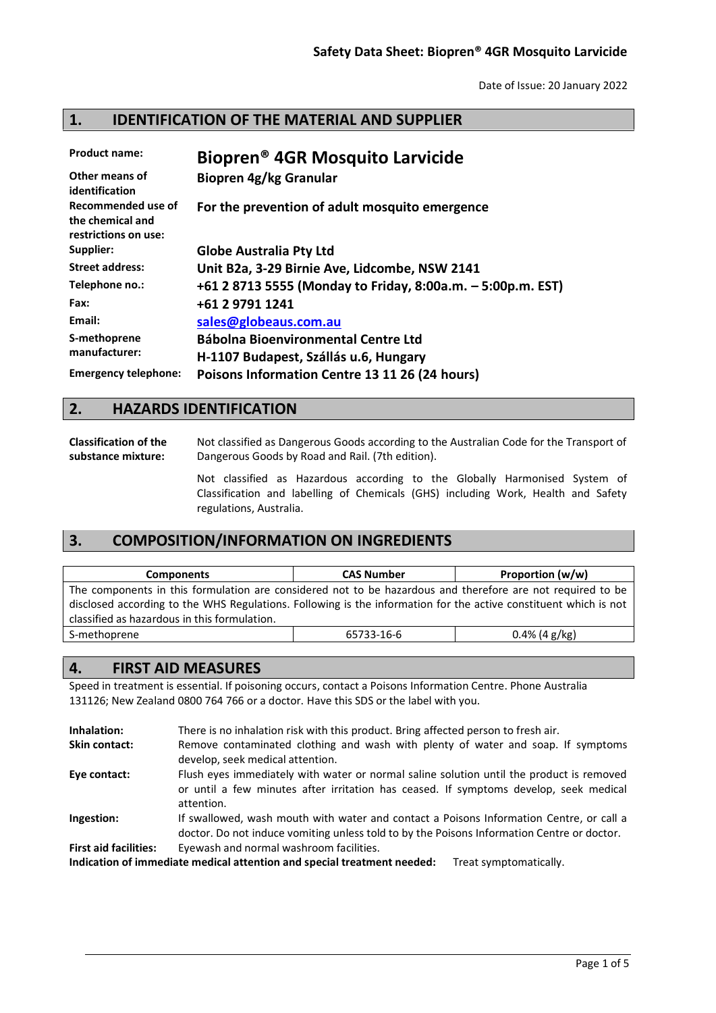# **1. IDENTIFICATION OF THE MATERIAL AND SUPPLIER**

| <b>Product name:</b>                                           | Biopren <sup>®</sup> 4GR Mosquito Larvicide                 |
|----------------------------------------------------------------|-------------------------------------------------------------|
| Other means of<br>identification                               | Biopren 4g/kg Granular                                      |
| Recommended use of<br>the chemical and<br>restrictions on use: | For the prevention of adult mosquito emergence              |
| Supplier:                                                      | <b>Globe Australia Pty Ltd</b>                              |
| <b>Street address:</b>                                         | Unit B2a, 3-29 Birnie Ave, Lidcombe, NSW 2141               |
| Telephone no.:                                                 | +61 2 8713 5555 (Monday to Friday, 8:00a.m. - 5:00p.m. EST) |
| Fax:                                                           | +61 2 9791 1241                                             |
| Email:                                                         | sales@globeaus.com.au                                       |
| S-methoprene                                                   | <b>Bábolna Bioenvironmental Centre Ltd</b>                  |
| manufacturer:                                                  | H-1107 Budapest, Szállás u.6, Hungary                       |
| <b>Emergency telephone:</b>                                    | Poisons Information Centre 13 11 26 (24 hours)              |

## **2. HAZARDS IDENTIFICATION**

**Classification of the substance mixture:** Not classified as Dangerous Goods according to the Australian Code for the Transport of Dangerous Goods by Road and Rail. (7th edition).

> Not classified as Hazardous according to the Globally Harmonised System of Classification and labelling of Chemicals (GHS) including Work, Health and Safety regulations, Australia.

# **3. COMPOSITION/INFORMATION ON INGREDIENTS**

| <b>Components</b>                                                                                                | <b>CAS Number</b> | Proportion (w/w) |
|------------------------------------------------------------------------------------------------------------------|-------------------|------------------|
| The components in this formulation are considered not to be hazardous and therefore are not required to be       |                   |                  |
| disclosed according to the WHS Regulations. Following is the information for the active constituent which is not |                   |                  |
| classified as hazardous in this formulation.                                                                     |                   |                  |
| S-methoprene                                                                                                     | 65733-16-6        | $0.4\%$ (4 g/kg) |

# **4. FIRST AID MEASURES**

Speed in treatment is essential. If poisoning occurs, contact a Poisons Information Centre. Phone Australia 131126; New Zealand 0800 764 766 or a doctor. Have this SDS or the label with you.

| Inhalation:                  | There is no inhalation risk with this product. Bring affected person to fresh air.                                                                                                              |
|------------------------------|-------------------------------------------------------------------------------------------------------------------------------------------------------------------------------------------------|
| <b>Skin contact:</b>         | Remove contaminated clothing and wash with plenty of water and soap. If symptoms<br>develop, seek medical attention.                                                                            |
| Eye contact:                 | Flush eyes immediately with water or normal saline solution until the product is removed<br>or until a few minutes after irritation has ceased. If symptoms develop, seek medical<br>attention. |
| Ingestion:                   | If swallowed, wash mouth with water and contact a Poisons Information Centre, or call a<br>doctor. Do not induce vomiting unless told to by the Poisons Information Centre or doctor.           |
| <b>First aid facilities:</b> | Eyewash and normal washroom facilities.                                                                                                                                                         |
|                              | Indication of immediate medical attention and special treatment needed:<br>Treat symptomatically.                                                                                               |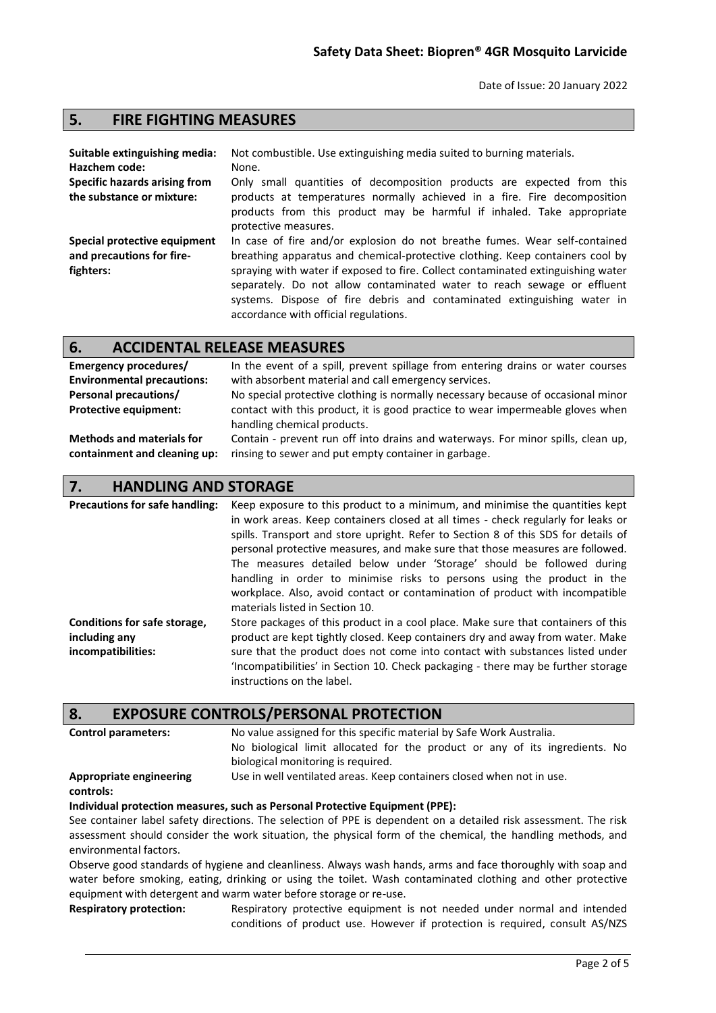## **5. FIRE FIGHTING MEASURES**

| Suitable extinguishing media:<br>Hazchem code:            | Not combustible. Use extinguishing media suited to burning materials.<br>None.                                                                                                                                                                                                  |
|-----------------------------------------------------------|---------------------------------------------------------------------------------------------------------------------------------------------------------------------------------------------------------------------------------------------------------------------------------|
| Specific hazards arising from                             | Only small quantities of decomposition products are expected from this                                                                                                                                                                                                          |
| the substance or mixture:                                 | products at temperatures normally achieved in a fire. Fire decomposition<br>products from this product may be harmful if inhaled. Take appropriate<br>protective measures.                                                                                                      |
| Special protective equipment<br>and precautions for fire- | In case of fire and/or explosion do not breathe fumes. Wear self-contained<br>breathing apparatus and chemical-protective clothing. Keep containers cool by                                                                                                                     |
| fighters:                                                 | spraying with water if exposed to fire. Collect contaminated extinguishing water<br>separately. Do not allow contaminated water to reach sewage or effluent<br>systems. Dispose of fire debris and contaminated extinguishing water in<br>accordance with official regulations. |

### **6. ACCIDENTAL RELEASE MEASURES**

| Emergency procedures/             | In the event of a spill, prevent spillage from entering drains or water courses                               |
|-----------------------------------|---------------------------------------------------------------------------------------------------------------|
| <b>Environmental precautions:</b> | with absorbent material and call emergency services.                                                          |
| <b>Personal precautions/</b>      | No special protective clothing is normally necessary because of occasional minor                              |
| <b>Protective equipment:</b>      | contact with this product, it is good practice to wear impermeable gloves when<br>handling chemical products. |
| <b>Methods and materials for</b>  | Contain - prevent run off into drains and waterways. For minor spills, clean up,                              |
| containment and cleaning up:      | rinsing to sewer and put empty container in garbage.                                                          |

### **7. HANDLING AND STORAGE**

**Precautions for safe handling:** Keep exposure to this product to a minimum, and minimise the quantities kept in work areas. Keep containers closed at all times - check regularly for leaks or spills. Transport and store upright. Refer to Section 8 of this SDS for details of personal protective measures, and make sure that those measures are followed. The measures detailed below under 'Storage' should be followed during handling in order to minimise risks to persons using the product in the workplace. Also, avoid contact or contamination of product with incompatible materials listed in Section 10. **Conditions for safe storage, including any incompatibilities:** Store packages of this product in a cool place. Make sure that containers of this product are kept tightly closed. Keep containers dry and away from water. Make sure that the product does not come into contact with substances listed under 'Incompatibilities' in Section 10. Check packaging - there may be further storage instructions on the label.

#### **8. EXPOSURE CONTROLS/PERSONAL PROTECTION**

| Control parameters: | No |
|---------------------|----|
|                     |    |

value assigned for this specific material by Safe Work Australia.

No biological limit allocated for the product or any of its ingredients. No biological monitoring is required. Use in well ventilated areas. Keep containers closed when not in use.

#### **Appropriate engineering controls:**

#### **Individual protection measures, such as Personal Protective Equipment (PPE):**

See container label safety directions. The selection of PPE is dependent on a detailed risk assessment. The risk assessment should consider the work situation, the physical form of the chemical, the handling methods, and environmental factors.

Observe good standards of hygiene and cleanliness. Always wash hands, arms and face thoroughly with soap and water before smoking, eating, drinking or using the toilet. Wash contaminated clothing and other protective equipment with detergent and warm water before storage or re-use.

**Respiratory protection:** Respiratory protective equipment is not needed under normal and intended conditions of product use. However if protection is required, consult AS/NZS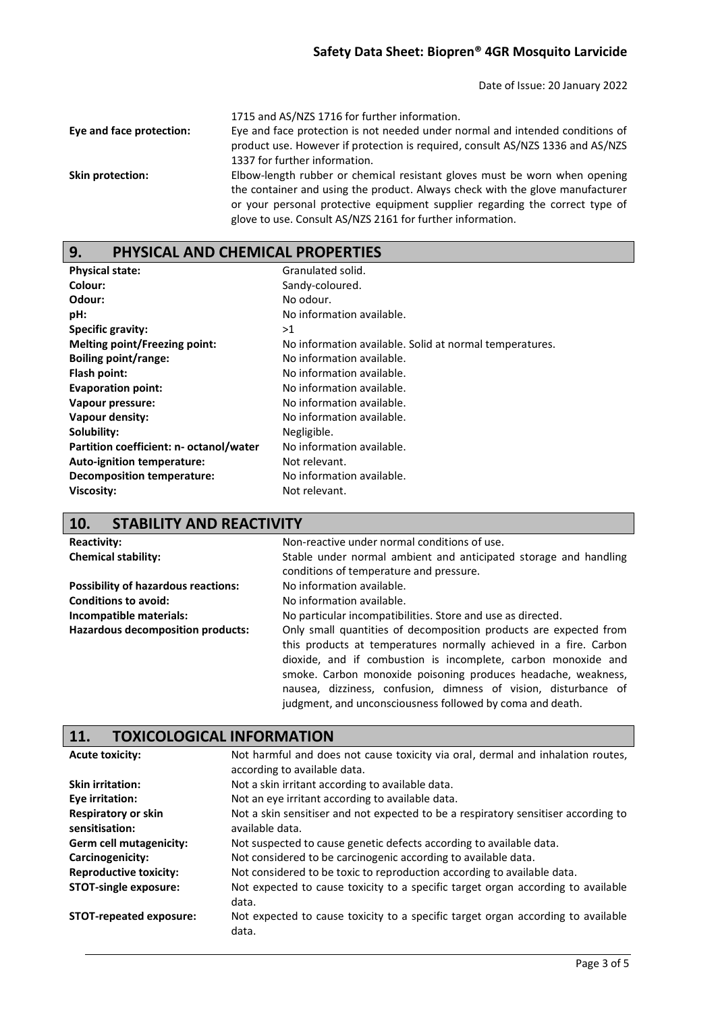| Eye and face protection: | 1715 and AS/NZS 1716 for further information.<br>Eye and face protection is not needed under normal and intended conditions of<br>product use. However if protection is required, consult AS/NZS 1336 and AS/NZS<br>1337 for further information. |
|--------------------------|---------------------------------------------------------------------------------------------------------------------------------------------------------------------------------------------------------------------------------------------------|
| Skin protection:         | Elbow-length rubber or chemical resistant gloves must be worn when opening                                                                                                                                                                        |
|                          | the container and using the product. Always check with the glove manufacturer<br>or your personal protective equipment supplier regarding the correct type of<br>glove to use. Consult AS/NZS 2161 for further information.                       |

# **9. PHYSICAL AND CHEMICAL PROPERTIES**

| <b>Physical state:</b>                  | Granulated solid.                                       |
|-----------------------------------------|---------------------------------------------------------|
| Colour:                                 | Sandy-coloured.                                         |
| Odour:                                  | No odour.                                               |
| pH:                                     | No information available.                               |
| Specific gravity:                       | >1                                                      |
| Melting point/Freezing point:           | No information available. Solid at normal temperatures. |
| <b>Boiling point/range:</b>             | No information available.                               |
| Flash point:                            | No information available.                               |
| <b>Evaporation point:</b>               | No information available.                               |
| Vapour pressure:                        | No information available.                               |
| Vapour density:                         | No information available.                               |
| Solubility:                             | Negligible.                                             |
| Partition coefficient: n- octanol/water | No information available.                               |
| Auto-ignition temperature:              | Not relevant.                                           |
| <b>Decomposition temperature:</b>       | No information available.                               |
| Viscosity:                              | Not relevant.                                           |

# **10. STABILITY AND REACTIVITY**

| <b>Reactivity:</b>                         | Non-reactive under normal conditions of use.                      |
|--------------------------------------------|-------------------------------------------------------------------|
| <b>Chemical stability:</b>                 | Stable under normal ambient and anticipated storage and handling  |
|                                            | conditions of temperature and pressure.                           |
| <b>Possibility of hazardous reactions:</b> | No information available.                                         |
| <b>Conditions to avoid:</b>                | No information available.                                         |
| Incompatible materials:                    | No particular incompatibilities. Store and use as directed.       |
| Hazardous decomposition products:          | Only small quantities of decomposition products are expected from |
|                                            | this products at temperatures normally achieved in a fire. Carbon |
|                                            | dioxide, and if combustion is incomplete, carbon monoxide and     |
|                                            | smoke. Carbon monoxide poisoning produces headache, weakness,     |
|                                            | nausea, dizziness, confusion, dimness of vision, disturbance of   |
|                                            | judgment, and unconsciousness followed by coma and death.         |

# **11. TOXICOLOGICAL INFORMATION**

| <b>Acute toxicity:</b>                       | Not harmful and does not cause toxicity via oral, dermal and inhalation routes,<br>according to available data. |
|----------------------------------------------|-----------------------------------------------------------------------------------------------------------------|
| <b>Skin irritation:</b>                      | Not a skin irritant according to available data.                                                                |
| Eye irritation:                              | Not an eye irritant according to available data.                                                                |
| <b>Respiratory or skin</b><br>sensitisation: | Not a skin sensitiser and not expected to be a respiratory sensitiser according to<br>available data.           |
| Germ cell mutagenicity:                      | Not suspected to cause genetic defects according to available data.                                             |
| Carcinogenicity:                             | Not considered to be carcinogenic according to available data.                                                  |
| <b>Reproductive toxicity:</b>                | Not considered to be toxic to reproduction according to available data.                                         |
| <b>STOT-single exposure:</b>                 | Not expected to cause toxicity to a specific target organ according to available<br>data.                       |
| <b>STOT-repeated exposure:</b>               | Not expected to cause toxicity to a specific target organ according to available<br>data.                       |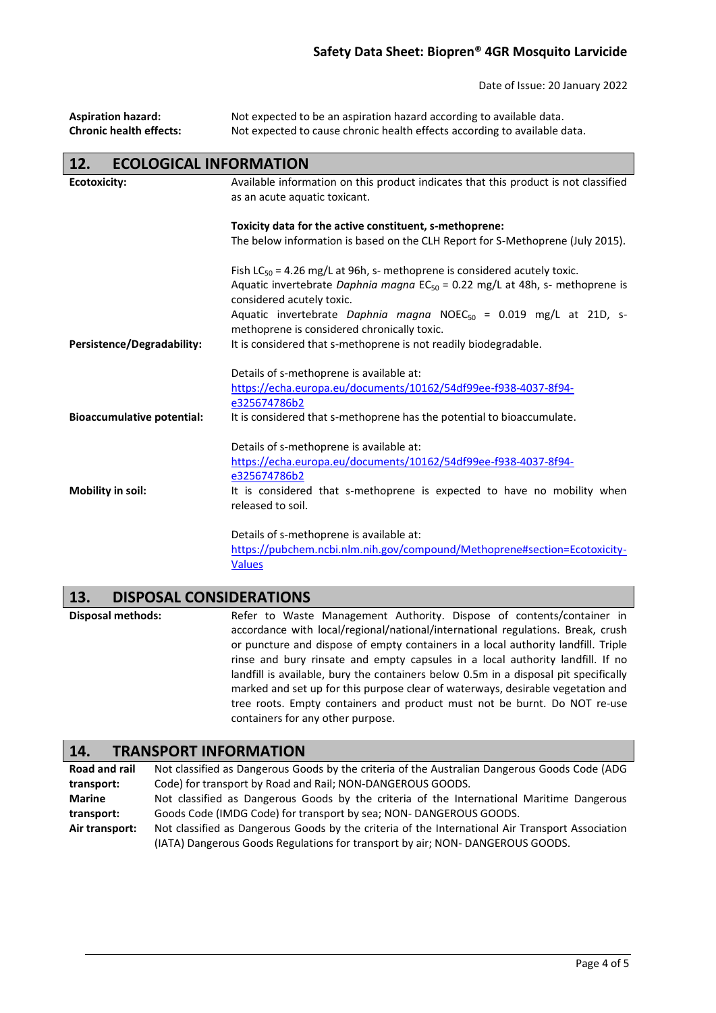## **Safety Data Sheet: Biopren® 4GR Mosquito Larvicide**

Date of Issue: 20 January 2022

| <b>Aspiration hazard:</b><br><b>Chronic health effects:</b> | Not expected to be an aspiration hazard according to available data.<br>Not expected to cause chronic health effects according to available data.                                                                                                                                |
|-------------------------------------------------------------|----------------------------------------------------------------------------------------------------------------------------------------------------------------------------------------------------------------------------------------------------------------------------------|
| <b>ECOLOGICAL INFORMATION</b><br>12.                        |                                                                                                                                                                                                                                                                                  |
| <b>Ecotoxicity:</b>                                         | Available information on this product indicates that this product is not classified<br>as an acute aquatic toxicant.                                                                                                                                                             |
|                                                             | Toxicity data for the active constituent, s-methoprene:                                                                                                                                                                                                                          |
|                                                             | The below information is based on the CLH Report for S-Methoprene (July 2015).                                                                                                                                                                                                   |
|                                                             | Fish $LC_{50}$ = 4.26 mg/L at 96h, s- methoprene is considered acutely toxic.<br>Aquatic invertebrate Daphnia magna $EC_{50} = 0.22$ mg/L at 48h, s- methoprene is<br>considered acutely toxic.<br>Aquatic invertebrate Daphnia magna NOEC <sub>50</sub> = 0.019 mg/L at 21D, s- |
|                                                             | methoprene is considered chronically toxic.                                                                                                                                                                                                                                      |
| <b>Persistence/Degradability:</b>                           | It is considered that s-methoprene is not readily biodegradable.                                                                                                                                                                                                                 |
|                                                             | Details of s-methoprene is available at:                                                                                                                                                                                                                                         |
|                                                             | https://echa.europa.eu/documents/10162/54df99ee-f938-4037-8f94-                                                                                                                                                                                                                  |
|                                                             | e325674786b2                                                                                                                                                                                                                                                                     |
| <b>Bioaccumulative potential:</b>                           | It is considered that s-methoprene has the potential to bioaccumulate.                                                                                                                                                                                                           |
|                                                             | Details of s-methoprene is available at:                                                                                                                                                                                                                                         |
|                                                             | https://echa.europa.eu/documents/10162/54df99ee-f938-4037-8f94-                                                                                                                                                                                                                  |
|                                                             | e325674786b2                                                                                                                                                                                                                                                                     |
| 8.4 - L. H.L.                                               | ويموان بالثالثام ومراجع ويتمول والمواطن ومستور والمتوجب ومستوطنة ومستراط الموسوليات ومستردي                                                                                                                                                                                      |

**Mobility in soil:** It is considered that s-methoprene is expected to have no mobility when released to soil.

> Details of s-methoprene is available at: [https://pubchem.ncbi.nlm.nih.gov/compound/Methoprene#section=Ecotoxicity-](https://pubchem.ncbi.nlm.nih.gov/compound/Methoprene#section=Ecotoxicity-Values)[Values](https://pubchem.ncbi.nlm.nih.gov/compound/Methoprene#section=Ecotoxicity-Values)

## **13. DISPOSAL CONSIDERATIONS**

I

Disposal methods: Refer to Waste Management Authority. Dispose of contents/container in accordance with local/regional/national/international regulations. Break, crush or puncture and dispose of empty containers in a local authority landfill. Triple rinse and bury rinsate and empty capsules in a local authority landfill. If no landfill is available, bury the containers below 0.5m in a disposal pit specifically marked and set up for this purpose clear of waterways, desirable vegetation and tree roots. Empty containers and product must not be burnt. Do NOT re-use containers for any other purpose.

# **14. TRANSPORT INFORMATION**

| <b>Road and rail</b> | Not classified as Dangerous Goods by the criteria of the Australian Dangerous Goods Code (ADG    |
|----------------------|--------------------------------------------------------------------------------------------------|
| transport:           | Code) for transport by Road and Rail; NON-DANGEROUS GOODS.                                       |
| <b>Marine</b>        | Not classified as Dangerous Goods by the criteria of the International Maritime Dangerous        |
| transport:           | Goods Code (IMDG Code) for transport by sea; NON-DANGEROUS GOODS.                                |
| Air transport:       | Not classified as Dangerous Goods by the criteria of the International Air Transport Association |
|                      | (IATA) Dangerous Goods Regulations for transport by air; NON-DANGEROUS GOODS.                    |